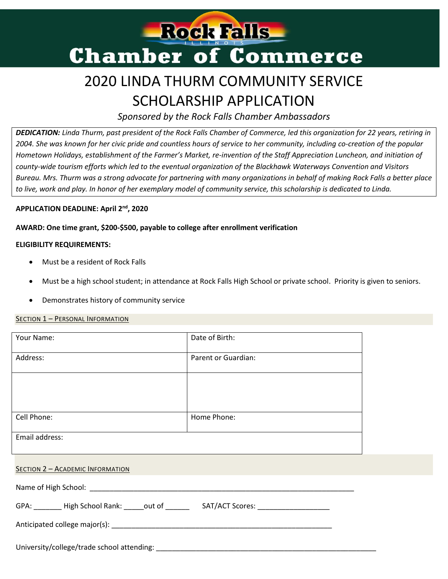

# 2020 LINDA THURM COMMUNITY SERVICE SCHOLARSHIP APPLICATION

*Sponsored by the Rock Falls Chamber Ambassadors*

*DEDICATION: Linda Thurm, past president of the Rock Falls Chamber of Commerce, led this organization for 22 years, retiring in 2004. She was known for her civic pride and countless hours of service to her community, including co-creation of the popular Hometown Holidays, establishment of the Farmer's Market, re-invention of the Staff Appreciation Luncheon, and initiation of county-wide tourism efforts which led to the eventual organization of the Blackhawk Waterways Convention and Visitors Bureau. Mrs. Thurm was a strong advocate for partnering with many organizations in behalf of making Rock Falls a better place to live, work and play. In honor of her exemplary model of community service, this scholarship is dedicated to Linda.*

## **APPLICATION DEADLINE: April 2 nd , 2020**

# **AWARD: One time grant, \$200-\$500, payable to college after enrollment verification**

## **ELIGIBILITY REQUIREMENTS:**

- Must be a resident of Rock Falls
- Must be a high school student; in attendance at Rock Falls High School or private school. Priority is given to seniors.
- Demonstrates history of community service

### SECTION 1 – PERSONAL INFORMATION

| Your Name:                                                                              | Date of Birth:      |  |
|-----------------------------------------------------------------------------------------|---------------------|--|
| Address:                                                                                | Parent or Guardian: |  |
|                                                                                         |                     |  |
|                                                                                         |                     |  |
| Cell Phone:                                                                             | Home Phone:         |  |
| Email address:                                                                          |                     |  |
|                                                                                         |                     |  |
| SECTION 2 - ACADEMIC INFORMATION                                                        |                     |  |
|                                                                                         |                     |  |
| GPA: ________ High School Rank: _____out of ________ SAT/ACT Scores: __________________ |                     |  |
|                                                                                         |                     |  |
|                                                                                         |                     |  |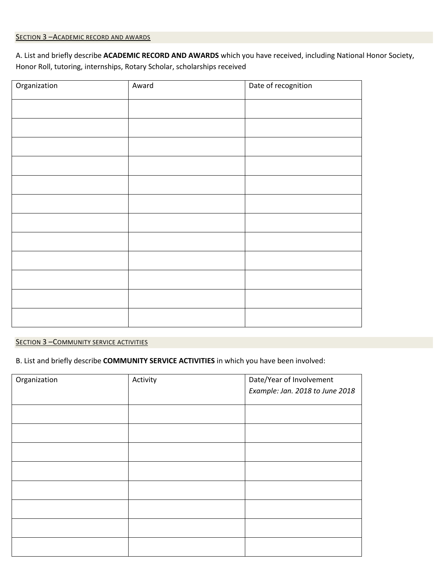## SECTION 3 - ACADEMIC RECORD AND AWARDS

A. List and briefly describe **ACADEMIC RECORD AND AWARDS** which you have received, including National Honor Society, Honor Roll, tutoring, internships, Rotary Scholar, scholarships received

| Organization | Award | Date of recognition |
|--------------|-------|---------------------|
|              |       |                     |
|              |       |                     |
|              |       |                     |
|              |       |                     |
|              |       |                     |
|              |       |                     |
|              |       |                     |
|              |       |                     |
|              |       |                     |
|              |       |                     |
|              |       |                     |
|              |       |                     |

#### **SECTION 3 - COMMUNITY SERVICE ACTIVITIES**

B. List and briefly describe **COMMUNITY SERVICE ACTIVITIES** in which you have been involved:

| Organization | Activity | Date/Year of Involvement        |
|--------------|----------|---------------------------------|
|              |          | Example: Jan. 2018 to June 2018 |
|              |          |                                 |
|              |          |                                 |
|              |          |                                 |
|              |          |                                 |
|              |          |                                 |
|              |          |                                 |
|              |          |                                 |
|              |          |                                 |
|              |          |                                 |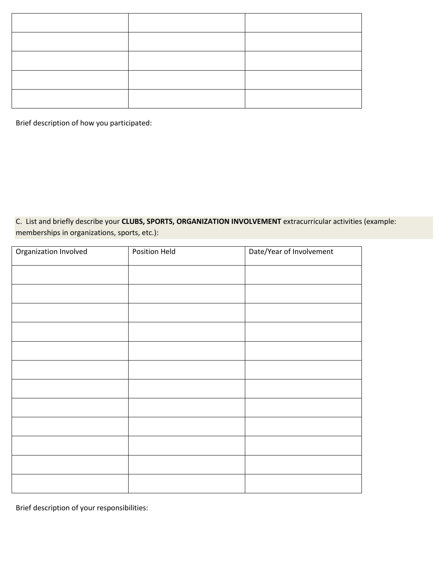Brief description of how you participated:

C. List and briefly describe your **CLUBS, SPORTS, ORGANIZATION INVOLVEMENT** extracurricular activities (example: memberships in organizations, sports, etc.):

| Organization Involved | Position Held | Date/Year of Involvement |
|-----------------------|---------------|--------------------------|
|                       |               |                          |
|                       |               |                          |
|                       |               |                          |
|                       |               |                          |
|                       |               |                          |
|                       |               |                          |
|                       |               |                          |
|                       |               |                          |
|                       |               |                          |
|                       |               |                          |
|                       |               |                          |
|                       |               |                          |

Brief description of your responsibilities: